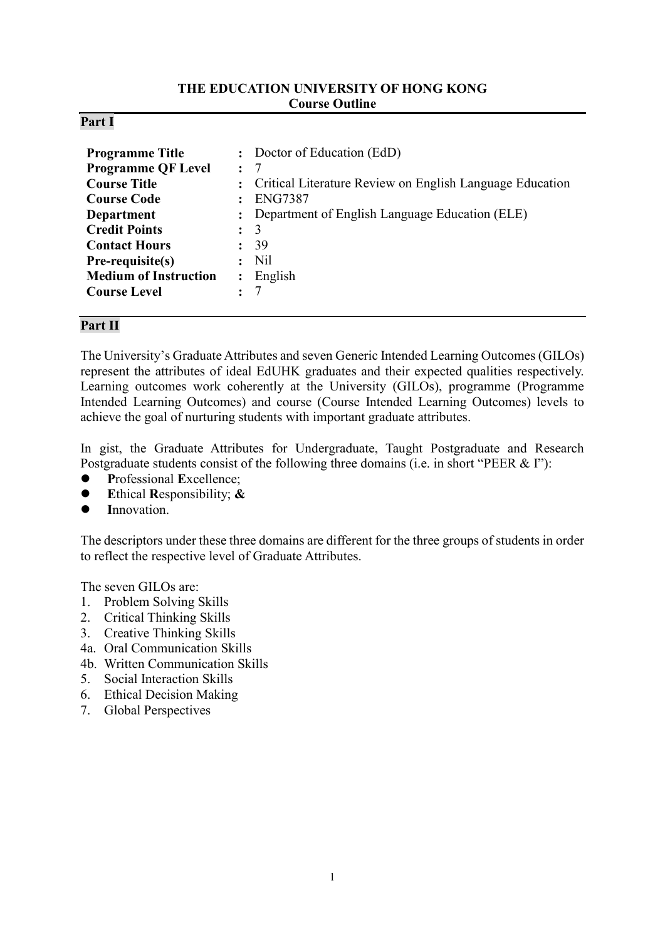### **THE EDUCATION UNIVERSITY OF HONG KONG Course Outline**

### **Part I**

| <b>Programme Title</b><br><b>Programme QF Level</b><br><b>Course Title</b><br><b>Course Code</b><br><b>Department</b><br><b>Credit Points</b><br><b>Contact Hours</b><br>Pre-requisite(s)<br><b>Medium of Instruction</b> | : Doctor of Education (EdD)<br>$\colon$ 7<br>: Critical Literature Review on English Language Education<br><b>ENG7387</b><br>: Department of English Language Education (ELE)<br>$\colon$ 3<br>39<br>$:$ Nil<br>$:$ English |
|---------------------------------------------------------------------------------------------------------------------------------------------------------------------------------------------------------------------------|-----------------------------------------------------------------------------------------------------------------------------------------------------------------------------------------------------------------------------|
| <b>Course Level</b>                                                                                                                                                                                                       |                                                                                                                                                                                                                             |

### **Part II**

The University's Graduate Attributes and seven Generic Intended Learning Outcomes (GILOs) represent the attributes of ideal EdUHK graduates and their expected qualities respectively. Learning outcomes work coherently at the University (GILOs), programme (Programme Intended Learning Outcomes) and course (Course Intended Learning Outcomes) levels to achieve the goal of nurturing students with important graduate attributes.

In gist, the Graduate Attributes for Undergraduate, Taught Postgraduate and Research Postgraduate students consist of the following three domains (i.e. in short "PEER & I"):

- **P**rofessional **E**xcellence;
- **E**thical **R**esponsibility; **&**
- **I**nnovation.

The descriptors under these three domains are different for the three groups of students in order to reflect the respective level of Graduate Attributes.

The seven GILOs are:

- 1. Problem Solving Skills
- 2. Critical Thinking Skills
- 3. Creative Thinking Skills
- 4a. Oral Communication Skills
- 4b. Written Communication Skills
- 5. Social Interaction Skills
- 6. Ethical Decision Making
- 7. Global Perspectives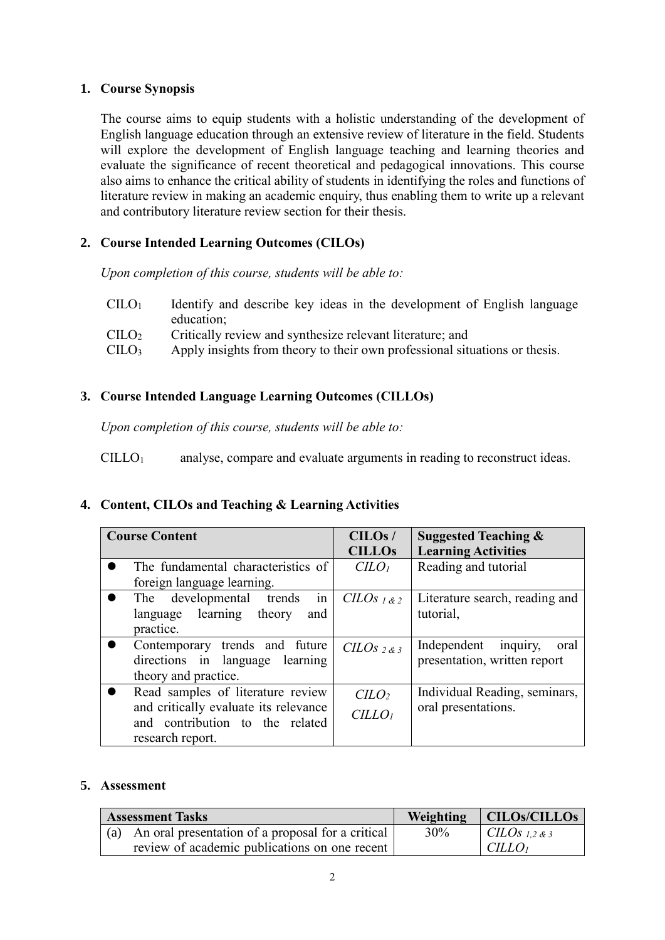## **1. Course Synopsis**

The course aims to equip students with a holistic understanding of the development of English language education through an extensive review of literature in the field. Students will explore the development of English language teaching and learning theories and evaluate the significance of recent theoretical and pedagogical innovations. This course also aims to enhance the critical ability of students in identifying the roles and functions of literature review in making an academic enquiry, thus enabling them to write up a relevant and contributory literature review section for their thesis.

# **2. Course Intended Learning Outcomes (CILOs)**

*Upon completion of this course, students will be able to:*

- $CILO<sub>1</sub>$  Identify and describe key ideas in the development of English language education;
- CILO<sup>2</sup> Critically review and synthesize relevant literature; and
- $\text{CILO}_3$  Apply insights from theory to their own professional situations or thesis.

# **3. Course Intended Language Learning Outcomes (CILLOs)**

*Upon completion of this course, students will be able to:*

CILLO1 analyse, compare and evaluate arguments in reading to reconstruct ideas.

# **4. Content, CILOs and Teaching & Learning Activities**

| <b>Course Content</b>                 | CILOS/                      | <b>Suggested Teaching &amp;</b> |  |
|---------------------------------------|-----------------------------|---------------------------------|--|
|                                       | <b>CILLOS</b>               | <b>Learning Activities</b>      |  |
| The fundamental characteristics of    | C <sub>LO<sub>l</sub></sub> | Reading and tutorial            |  |
| foreign language learning.            |                             |                                 |  |
| The developmental trends<br>in        | CLOs <sub>1&amp;2</sub>     | Literature search, reading and  |  |
| language learning theory<br>and       |                             | tutorial,                       |  |
| practice.                             |                             |                                 |  |
| Contemporary trends and future        | $CILOs2$ & 3                | Independent<br>inquiry,<br>oral |  |
| directions in language learning       |                             | presentation, written report    |  |
| theory and practice.                  |                             |                                 |  |
| Read samples of literature review     | $C$                         | Individual Reading, seminars,   |  |
| and critically evaluate its relevance | CILLO <sub>1</sub>          | oral presentations.             |  |
| and contribution to the related       |                             |                                 |  |
| research report.                      |                             |                                 |  |

## **5. Assessment**

| <b>Assessment Tasks</b> |                                                       | <b>Weighting</b> | CILOs/CILLOs       |
|-------------------------|-------------------------------------------------------|------------------|--------------------|
|                         | (a) An oral presentation of a proposal for a critical | 30%              | $CLOS_{1,2,8,3}$   |
|                         | review of academic publications on one recent         |                  | CILLO <sub>1</sub> |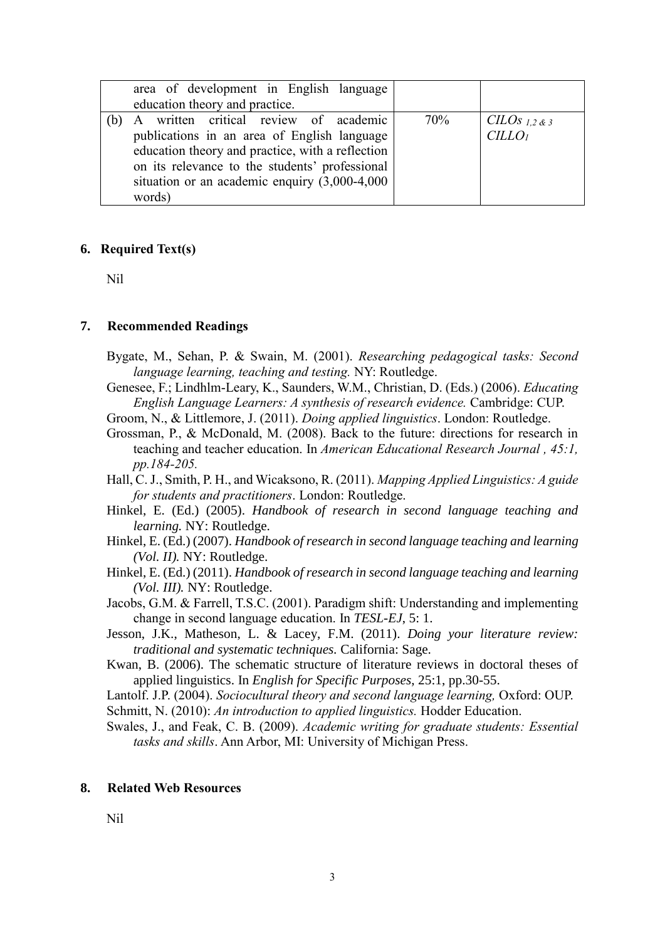| area of development in English language<br>education theory and practice. |     |                    |
|---------------------------------------------------------------------------|-----|--------------------|
|                                                                           |     |                    |
| A written critical review of academic                                     | 70% | CILOS 1,2 & 3      |
| publications in an area of English language                               |     | CILLO <sub>1</sub> |
| education theory and practice, with a reflection                          |     |                    |
| on its relevance to the students' professional                            |     |                    |
| situation or an academic enquiry $(3,000-4,000)$                          |     |                    |
| words)                                                                    |     |                    |

#### **6. Required Text(s)**

Nil

#### **7. Recommended Readings**

- Bygate, M., Sehan, P. & Swain, M. (2001). *Researching pedagogical tasks: Second language learning, teaching and testing.* NY: Routledge.
- Genesee, F.; Lindhlm-Leary, K., Saunders, W.M., Christian, D. (Eds.) (2006). *Educating English Language Learners: A synthesis of research evidence.* Cambridge: CUP.
- Groom, N., & Littlemore, J. (2011). *Doing applied linguistics*. London: Routledge.
- Grossman, P., & McDonald, M. (2008). Back to the future: directions for research in teaching and teacher education. In *American Educational Research Journal , 45:1, pp.184-205.*

Hall, C. J., Smith, P. H., and Wicaksono, R. (2011). *Mapping Applied Linguistics: A guide for students and practitioners*. London: Routledge.

- Hinkel, E. (Ed.) (2005). *Handbook of research in second language teaching and learning.* NY: Routledge.
- Hinkel, E. (Ed.) (2007). *Handbook of research in second language teaching and learning (Vol. II).* NY: Routledge.

Hinkel, E. (Ed.) (2011). *Handbook of research in second language teaching and learning (Vol. III).* NY: Routledge.

Jacobs, G.M. & Farrell, T.S.C. (2001). Paradigm shift: Understanding and implementing change in second language education. In *TESL-EJ*, 5: 1.

Jesson, J.K., Matheson, L. & Lacey, F.M. (2011). *Doing your literature review: traditional and systematic techniques.* California: Sage.

Kwan, B. (2006). The schematic structure of literature reviews in doctoral theses of applied linguistics. In *English for Specific Purposes*, 25:1, pp.30-55.

Lantolf. J.P. (2004). *Sociocultural theory and second language learning*, Oxford: OUP. Schmitt, N. (2010): *An introduction to applied linguistics.* Hodder Education.

Swales, J., and Feak, C. B. (2009). *Academic writing for graduate students: Essential tasks and skills*. Ann Arbor, MI: University of Michigan Press.

#### **8. Related Web Resources**

Nil